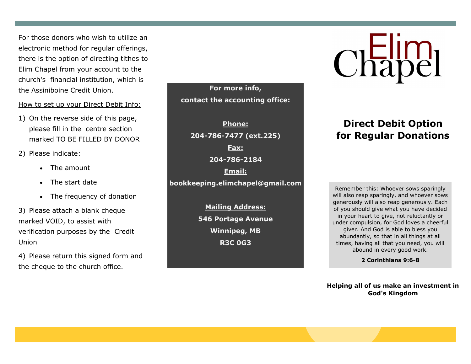For those donors who wish to utilize an electronic method for regular offerings, there is the option of directing tithes to Elim Chapel from your account to the church's financial institution, which is the Assiniboine Credit Union.

### How to set up your Direct Debit Info:

1) On the reverse side of this page, please fill in the centre section marked TO BE FILLED BY DONOR

2) Please indicate:

- The amount
- The start date
- The frequency of donation

3) Please attach a blank cheque marked VOID, to assist with verification purposes by the Credit Union

4) Please return this signed form and the cheque to the church office.

**For more info, contact the accounting office:**

**Phone: 204-786-7477 (ext.225) Fax: 204-786-2184 Email: bookkeeping.elimchapel@gmail.com**

> **Mailing Address: 546 Portage Avenue Winnipeg, MB R3C 0G3**

# Chapel

# **Direct Debit Option for Regular Donations**

Remember this: Whoever sows sparingly will also reap sparingly, and whoever sows generously will also reap generously. Each of you should give what you have decided in your heart to give, not reluctantly or under compulsion, for God loves a cheerful giver. And God is able to bless you abundantly, so that in all things at all times, having all that you need, you will abound in every good work.

**2 Corinthians 9:6-8**

**Helping all of us make an investment in God's Kingdom**